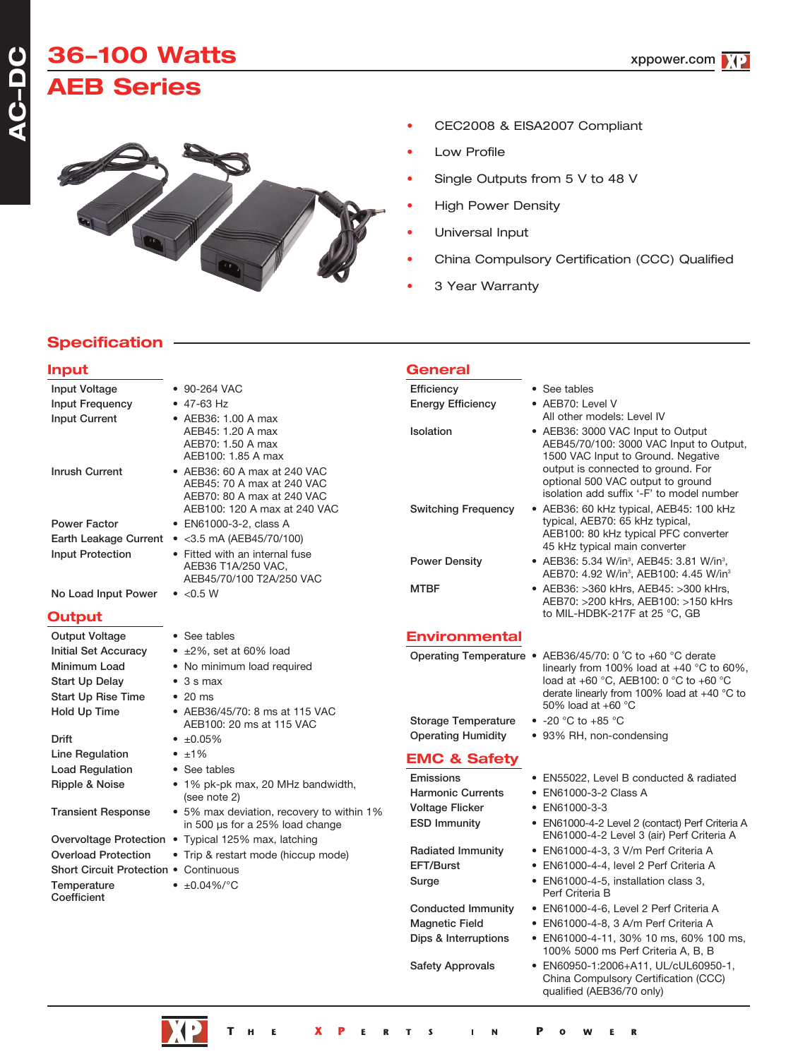# **36100 Watts AEB Series**



- CEC2008 & EISA2007 Compliant
- **Low Profile**
- Single Outputs from 5 V to 48 V
- High Power Density
- Universal Input
- China Compulsory Certification (CCC) Qualified

xppower.com

3 Year Warranty

### **Specification**

| <b>Input</b>                                                        |                                                                                          | <b>General</b>             |                                                                                                                                     |
|---------------------------------------------------------------------|------------------------------------------------------------------------------------------|----------------------------|-------------------------------------------------------------------------------------------------------------------------------------|
| <b>Input Voltage</b>                                                | • 90-264 VAC                                                                             | Efficiency                 | • See tables                                                                                                                        |
| Input Frequency                                                     | $\bullet$ 47-63 Hz                                                                       | <b>Energy Efficiency</b>   | • AEB70: Level V                                                                                                                    |
| <b>Input Current</b>                                                | • AEB36: 1.00 A max                                                                      |                            | All other models: Level IV                                                                                                          |
|                                                                     | AEB45: 1.20 A max<br>AEB70: 1.50 A max<br>AEB100: 1.85 A max                             | Isolation                  | • AEB36: 3000 VAC Input to Output<br>AEB45/70/100: 3000 VAC Input to Output,<br>1500 VAC Input to Ground. Negative                  |
| <b>Inrush Current</b>                                               | • AEB36: 60 A max at 240 VAC<br>AEB45: 70 A max at 240 VAC<br>AEB70: 80 A max at 240 VAC |                            | output is connected to ground. For<br>optional 500 VAC output to ground<br>isolation add suffix '-F' to model number                |
|                                                                     | AEB100: 120 A max at 240 VAC                                                             | <b>Switching Frequency</b> | • AEB36: 60 kHz typical, AEB45: 100 kHz                                                                                             |
| <b>Power Factor</b>                                                 | • EN61000-3-2, class A                                                                   |                            | typical, AEB70: 65 kHz typical,<br>AEB100: 80 kHz typical PFC converter                                                             |
|                                                                     | Earth Leakage Current • < 3.5 mA (AEB45/70/100)                                          |                            | 45 kHz typical main converter                                                                                                       |
| <b>Input Protection</b>                                             | • Fitted with an internal fuse<br>AEB36 T1A/250 VAC,<br>AEB45/70/100 T2A/250 VAC         | <b>Power Density</b>       | • AEB36: 5.34 W/in <sup>3</sup> , AEB45: 3.81 W/in <sup>3</sup> ,<br>AEB70: 4.92 W/in <sup>3</sup> , AEB100: 4.45 W/in <sup>3</sup> |
| No Load Input Power                                                 | $\bullet$ <0.5 W                                                                         | <b>MTBF</b>                | • AEB36: >360 kHrs, AEB45: >300 kHrs,<br>AEB70: >200 kHrs, AEB100: >150 kHrs                                                        |
| Output                                                              |                                                                                          |                            | to MIL-HDBK-217F at 25 °C, GB                                                                                                       |
| Output Voltage                                                      | • See tables                                                                             | <b>Environmental</b>       |                                                                                                                                     |
| Initial Set Accuracy                                                | $\bullet$ ±2%, set at 60% load                                                           |                            | Operating Temperature • AEB36/45/70: 0 °C to +60 °C derate                                                                          |
| Minimum Load                                                        | • No minimum load required                                                               |                            | linearly from 100% load at $+40$ °C to 60%.                                                                                         |
| <b>Start Up Delay</b>                                               | $\bullet$ 3 s max                                                                        |                            | load at +60 °C, AEB100: 0 °C to +60 °C                                                                                              |
| <b>Start Up Rise Time</b>                                           | $\cdot$ 20 ms                                                                            |                            | derate linearly from 100% load at $+40$ °C to<br>50% load at $+60$ °C                                                               |
| Hold Up Time                                                        | • AEB36/45/70: 8 ms at 115 VAC                                                           | <b>Storage Temperature</b> | $\bullet$ -20 °C to +85 °C                                                                                                          |
| <b>Drift</b>                                                        | AEB100: 20 ms at 115 VAC<br>$\bullet$ $\pm 0.05\%$                                       | <b>Operating Humidity</b>  | • 93% RH, non-condensing                                                                                                            |
|                                                                     | $\bullet$ $\pm 1\%$                                                                      |                            |                                                                                                                                     |
| Line Regulation<br><b>Load Regulation</b>                           | • See tables                                                                             | <b>EMC &amp; Safety</b>    |                                                                                                                                     |
| Ripple & Noise                                                      | • 1% pk-pk max, 20 MHz bandwidth,                                                        | Emissions                  | • EN55022, Level B conducted & radiated                                                                                             |
|                                                                     | (see note 2)                                                                             | <b>Harmonic Currents</b>   | • EN61000-3-2 Class A                                                                                                               |
| <b>Transient Response</b>                                           | • 5% max deviation, recovery to within 1%                                                | <b>Voltage Flicker</b>     | • EN61000-3-3                                                                                                                       |
|                                                                     | in 500 µs for a 25% load change                                                          | <b>ESD Immunity</b>        | • EN61000-4-2 Level 2 (contact) Perf Criteria A<br>EN61000-4-2 Level 3 (air) Perf Criteria A                                        |
|                                                                     | Overvoltage Protection • Typical 125% max, latching                                      | <b>Radiated Immunity</b>   | • EN61000-4-3, 3 V/m Perf Criteria A                                                                                                |
| <b>Overload Protection</b><br>Short Circuit Protection . Continuous | • Trip & restart mode (hiccup mode)                                                      | EFT/Burst                  | • EN61000-4-4, level 2 Perf Criteria A                                                                                              |
|                                                                     | • $\pm 0.04\%$ /°C                                                                       | Surge                      | • EN61000-4-5, installation class 3,                                                                                                |
| Temperature<br>Coefficient                                          |                                                                                          |                            | Perf Criteria B                                                                                                                     |
|                                                                     |                                                                                          | <b>Conducted Immunity</b>  | • EN61000-4-6, Level 2 Perf Criteria A                                                                                              |
|                                                                     |                                                                                          | <b>Magnetic Field</b>      | • EN61000-4-8, 3 A/m Perf Criteria A                                                                                                |
|                                                                     |                                                                                          | Dips & Interruptions       | ● EN61000-4-11, 30% 10 ms, 60% 100 ms,<br>100% 5000 ms Perf Criteria A, B, B                                                        |
|                                                                     |                                                                                          | <b>Safety Approvals</b>    | • EN60950-1:2006+A11, UL/cUL60950-1,<br>China Compulsory Certification (CCC)<br>qualified (AEB36/70 only)                           |

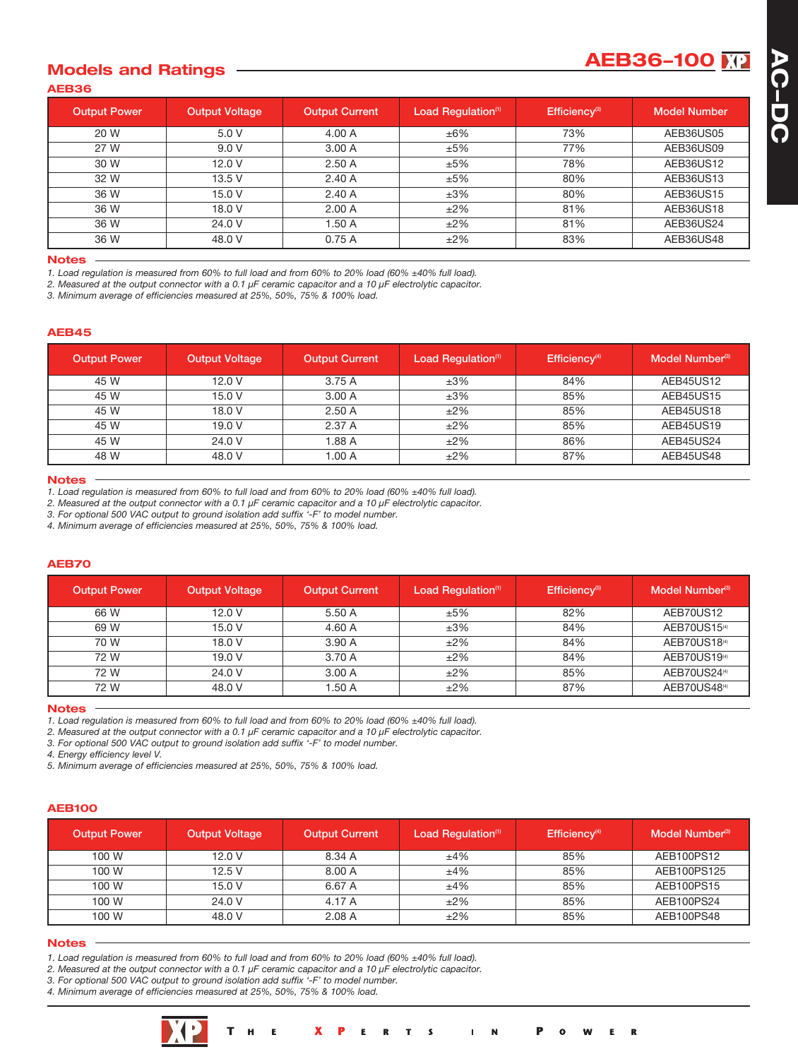# **AEB36100 Models and Ratings**

|--|

| <b>Output Power</b> | <b>Output Voltage</b> | <b>Output Current</b> | Load Regulation <sup>(1)</sup> | Efficiency <sup>(3)</sup> | <b>Model Number</b> |
|---------------------|-----------------------|-----------------------|--------------------------------|---------------------------|---------------------|
| 20 W                | 5.0 V                 | 4.00 A                | ±6%                            | 73%                       | AEB36US05           |
| 27 W                | 9.0V                  | 3.00A                 | ±5%                            | 77%                       | AEB36US09           |
| 30 W                | 12.0 V                | 2.50A                 | ±5%                            | 78%                       | AEB36US12           |
| 32 W                | 13.5 V                | 2.40A                 | ±5%                            | 80%                       | AEB36US13           |
| 36 W                | 15.0V                 | 2.40A                 | ±3%                            | 80%                       | AEB36US15           |
| 36 W                | 18.0 V                | 2.00A                 | $±2\%$                         | 81%                       | AEB36US18           |
| 36 W                | 24.0 V                | 1.50A                 | $±2\%$                         | 81%                       | AEB36US24           |
| 36 W                | 48.0 V                | 0.75A                 | $±2\%$                         | 83%                       | AEB36US48           |

### **Notes**

1. Load regulation is measured from 60% to full load and from 60% to 20% load (60% ±40% full load).

2. Measured at the output connector with a 0.1  $\mu$ F ceramic capacitor and a 10  $\mu$ F electrolytic capacitor.

*3. Minimum average of efficiencies measured at 25%, 50%, 75% & 100% load.*

### **AEB45**

| <b>Output Power</b> | <b>Output Voltage</b> | <b>Output Current</b> | Load Regulation <sup>(1)</sup> | Efficiency <sup>(4)</sup> | Model Number <sup>(3)</sup> |
|---------------------|-----------------------|-----------------------|--------------------------------|---------------------------|-----------------------------|
| 45 W                | 12.0 V                | 3.75 A                | ±3%                            | 84%                       | AEB45US12                   |
| 45 W                | 15.0 V                | 3.00 A                | ±3%                            | 85%                       | AEB45US15                   |
| 45 W                | 18.0 V                | 2.50A                 | $±2\%$                         | 85%                       | AEB45US18                   |
| 45 W                | 19.0 V                | 2.37 A                | $±2\%$                         | 85%                       | AEB45US19                   |
| 45 W                | 24.0 V                | 1.88 A                | $±2\%$                         | 86%                       | AEB45US24                   |
| 48 W                | 48.0 V                | 1.00A                 | $±2\%$                         | 87%                       | AEB45US48                   |

#### **Notes**

1. Load regulation is measured from 60% to full load and from 60% to 20% load (60% ±40% full load).

2. Measured at the output connector with a 0.1  $\mu$ F ceramic capacitor and a 10  $\mu$ F electrolytic capacitor.

*3. For optional 500 VAC output to ground isolation add suffix '-F' to model number.*

*4. Minimum average of efficiencies measured at 25%, 50%, 75% & 100% load.*

### **AEB70**

| <b>Output Power</b> | <b>Output Voltage</b> | <b>Output Current</b> | Load Regulation <sup>(1)</sup> | Efficiency <sup>(5)</sup> | Model Number <sup>(3)</sup> |
|---------------------|-----------------------|-----------------------|--------------------------------|---------------------------|-----------------------------|
| 66 W                | 12.0 V                | 5.50 A                | ±5%                            | 82%                       | AEB70US12                   |
| 69 W                | 15.0 V                | 4.60 A                | ±3%                            | 84%                       | AEB70US15 <sup>(4)</sup>    |
| 70 W                | 18.0 V                | 3.90 A                | $±2\%$                         | 84%                       | AEB70US18(4)                |
| 72 W                | 19.0V                 | 3.70 A                | $±2\%$                         | 84%                       | AEB70US1949                 |
| 72 W                | 24.0 V                | 3.00A                 | $±2\%$                         | 85%                       | AEB70US24(4)                |
| 72 W                | 48.0 V                | 1.50 A                | $±2\%$                         | 87%                       | AEB70US48(4)                |

#### **Notes**

1. Load regulation is measured from 60% to full load and from 60% to 20% load (60% ±40% full load).

2. Measured at the output connector with a 0.1  $\mu$ F ceramic capacitor and a 10  $\mu$ F electrolytic capacitor.

*3. For optional 500 VAC output to ground isolation add suffix '-F' to model number.*

*4. Energy efficiency level V.*

*5. Minimum average of efficiencies measured at 25%, 50%, 75% & 100% load.*

### **AEB100**

| <b>Output Power</b> | <b>Output Voltage</b> | <b>Output Current</b> | Load Regulation <sup>(1)</sup> | Efficiency <sup>(4)</sup> | Model Number <sup>(3)</sup> |
|---------------------|-----------------------|-----------------------|--------------------------------|---------------------------|-----------------------------|
| 100 W               | 12.0V                 | 8.34 A                | ±4%                            | 85%                       | AEB100PS12                  |
| 100 W               | 12.5V                 | 8.00 A                | ±4%                            | 85%                       | AEB100PS125                 |
| 100 W               | 15.0V                 | 6.67 A                | ±4%                            | 85%                       | AEB100PS15                  |
| 100 W               | 24.0 V                | 4.17 A                | $±2\%$                         | 85%                       | AEB100PS24                  |
| 100 W               | 48.0 V                | 2.08A                 | $±2\%$                         | 85%                       | AEB100PS48                  |

#### **Notes**

1. Load regulation is measured from 60% to full load and from 60% to 20% load (60% ±40% full load).

2. Measured at the output connector with a 0.1  $\mu$ F ceramic capacitor and a 10  $\mu$ F electrolytic capacitor.

*3. For optional 500 VAC output to ground isolation add suffix '-F' to model number.*

*4. Minimum average of efficiencies measured at 25%, 50%, 75% & 100% load.*

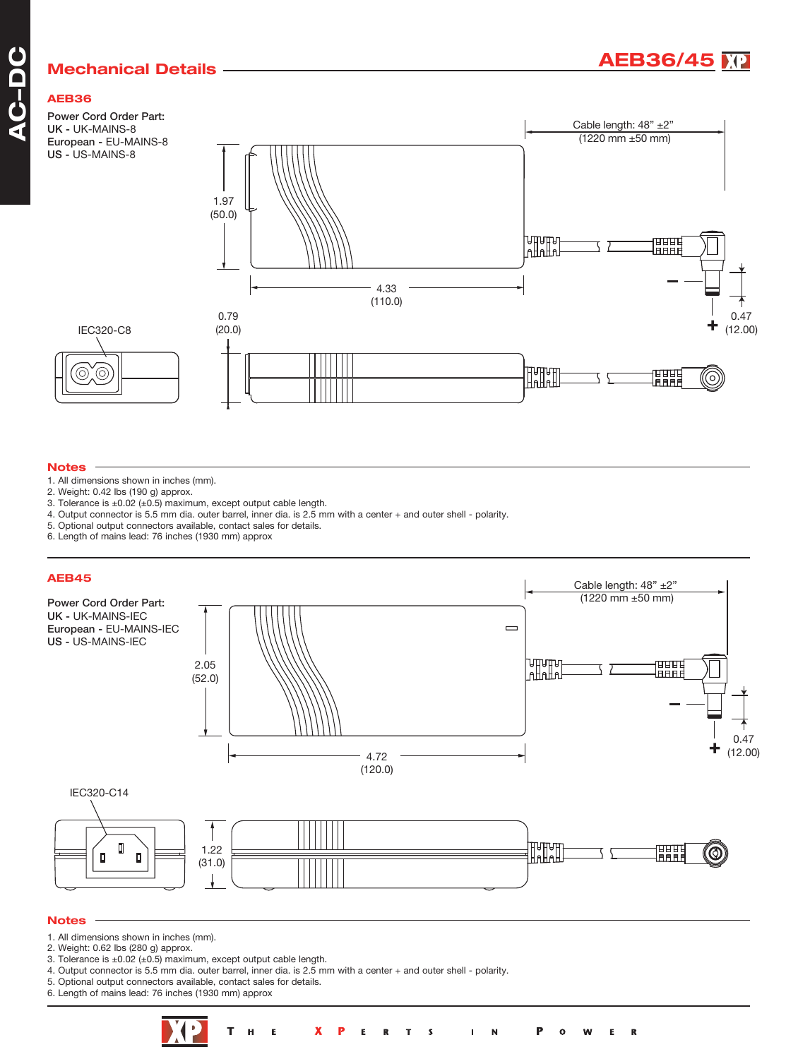## **Mechanical Details** ————————————————————**AEB36/45**

### **AEB36**

**A C** $\overline{\phantom{a}}$ **DC**

Power Cord Order Part: UK - UK-MAINS-8 European - EU-MAINS-8 US - US-MAINS-8



### **Notes**

 $\circledcirc$ 

- 1. All dimensions shown in inches (mm).
- 2. Weight: 0.42 lbs (190 g) approx.
- 3. Tolerance is ±0.02 (±0.5) maximum, except output cable length.
- 4. Output connector is 5.5 mm dia. outer barrel, inner dia. is 2.5 mm with a center + and outer shell polarity.
- 5. Optional output connectors available, contact sales for details.
- 6. Length of mains lead: 76 inches (1930 mm) approx



- 3. Tolerance is  $\pm 0.02$  ( $\pm 0.5$ ) maximum, except output cable length.
- 4. Output connector is 5.5 mm dia. outer barrel, inner dia. is 2.5 mm with a center + and outer shell polarity.
- 5. Optional output connectors available, contact sales for details.
- 6. Length of mains lead: 76 inches (1930 mm) approx



 $\mathbf R$